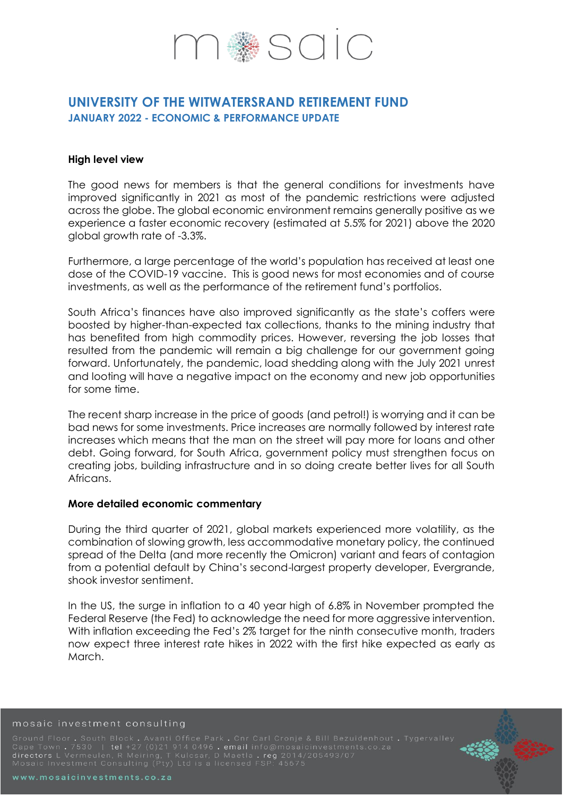# SOIC<sup>®</sup>

## **UNIVERSITY OF THE WITWATERSRAND RETIREMENT FUND JANUARY 2022 - ECONOMIC & PERFORMANCE UPDATE**

#### **High level view**

The good news for members is that the general conditions for investments have improved significantly in 2021 as most of the pandemic restrictions were adjusted across the globe. The global economic environment remains generally positive as we experience a faster economic recovery (estimated at 5.5% for 2021) above the 2020 global growth rate of -3.3%.

Furthermore, a large percentage of the world's population has received at least one dose of the COVID-19 vaccine. This is good news for most economies and of course investments, as well as the performance of the retirement fund's portfolios.

South Africa's finances have also improved significantly as the state's coffers were boosted by higher-than-expected tax collections, thanks to the mining industry that has benefited from high commodity prices. However, reversing the job losses that resulted from the pandemic will remain a big challenge for our government going forward. Unfortunately, the pandemic, load shedding along with the July 2021 unrest and looting will have a negative impact on the economy and new job opportunities for some time.

The recent sharp increase in the price of goods (and petrol!) is worrying and it can be bad news for some investments. Price increases are normally followed by interest rate increases which means that the man on the street will pay more for loans and other debt. Going forward, for South Africa, government policy must strengthen focus on creating jobs, building infrastructure and in so doing create better lives for all South Africans.

### **More detailed economic commentary**

During the third quarter of 2021, global markets experienced more volatility, as the combination of slowing growth, less accommodative monetary policy, the continued spread of the Delta (and more recently the Omicron) variant and fears of contagion from a potential default by China's second-largest property developer, Evergrande, shook investor sentiment.

In the US, the surge in inflation to a 40 year high of 6.8% in November prompted the Federal Reserve (the Fed) to acknowledge the need for more aggressive intervention. With inflation exceeding the Fed's 2% target for the ninth consecutive month, traders now expect three interest rate hikes in 2022 with the first hike expected as early as March.

#### mosaic investment consulting

Ground Floor . South Block . Avanti Office Park . Cnr Carl Cronje & Bill Bezuidenhout . Tygervalley<br>Cape Town . 7530 | tel +27 (0)21 914 0496 . email info@mosaicinvestments.co.za<br>directors L Vermeulen, R Meiring, T Kulc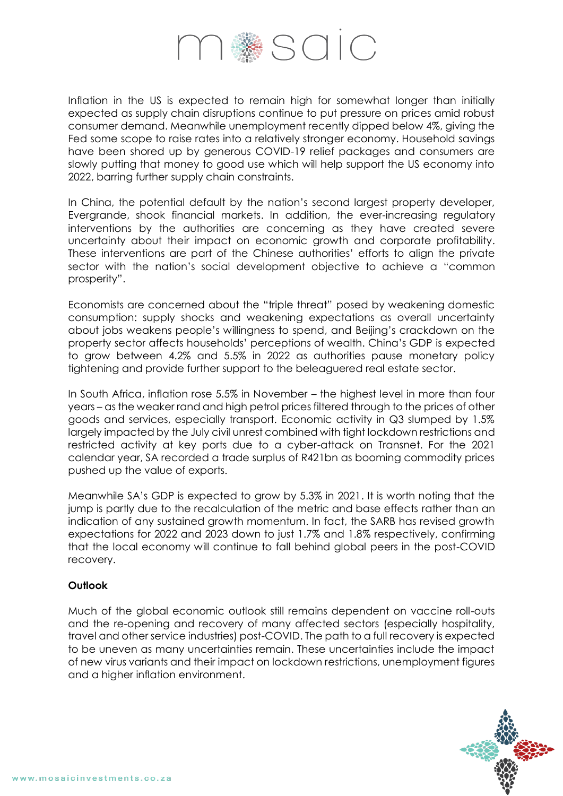

Inflation in the US is expected to remain high for somewhat longer than initially expected as supply chain disruptions continue to put pressure on prices amid robust consumer demand. Meanwhile unemployment recently dipped below 4%, giving the Fed some scope to raise rates into a relatively stronger economy. Household savings have been shored up by generous COVID-19 relief packages and consumers are slowly putting that money to good use which will help support the US economy into 2022, barring further supply chain constraints.

In China, the potential default by the nation's second largest property developer, Evergrande, shook financial markets. In addition, the ever-increasing regulatory interventions by the authorities are concerning as they have created severe uncertainty about their impact on economic growth and corporate profitability. These interventions are part of the Chinese authorities' efforts to align the private sector with the nation's social development objective to achieve a "common prosperity".

Economists are concerned about the "triple threat" posed by weakening domestic consumption: supply shocks and weakening expectations as overall uncertainty about jobs weakens people's willingness to spend, and Beijing's crackdown on the property sector affects households' perceptions of wealth. China's GDP is expected to grow between 4.2% and 5.5% in 2022 as authorities pause monetary policy tightening and provide further support to the beleaguered real estate sector.

In South Africa, inflation rose 5.5% in November – the highest level in more than four years – as the weaker rand and high petrol prices filtered through to the prices of other goods and services, especially transport. Economic activity in Q3 slumped by 1.5% largely impacted by the July civil unrest combined with tight lockdown restrictions and restricted activity at key ports due to a cyber-attack on Transnet. For the 2021 calendar year, SA recorded a trade surplus of R421bn as booming commodity prices pushed up the value of exports.

Meanwhile SA's GDP is expected to grow by 5.3% in 2021. It is worth noting that the jump is partly due to the recalculation of the metric and base effects rather than an indication of any sustained growth momentum. In fact, the SARB has revised growth expectations for 2022 and 2023 down to just 1.7% and 1.8% respectively, confirming that the local economy will continue to fall behind global peers in the post-COVID recovery.

### **Outlook**

Much of the global economic outlook still remains dependent on vaccine roll-outs and the re-opening and recovery of many affected sectors (especially hospitality, travel and other service industries) post-COVID. The path to a full recovery is expected to be uneven as many uncertainties remain. These uncertainties include the impact of new virus variants and their impact on lockdown restrictions, unemployment figures and a higher inflation environment.

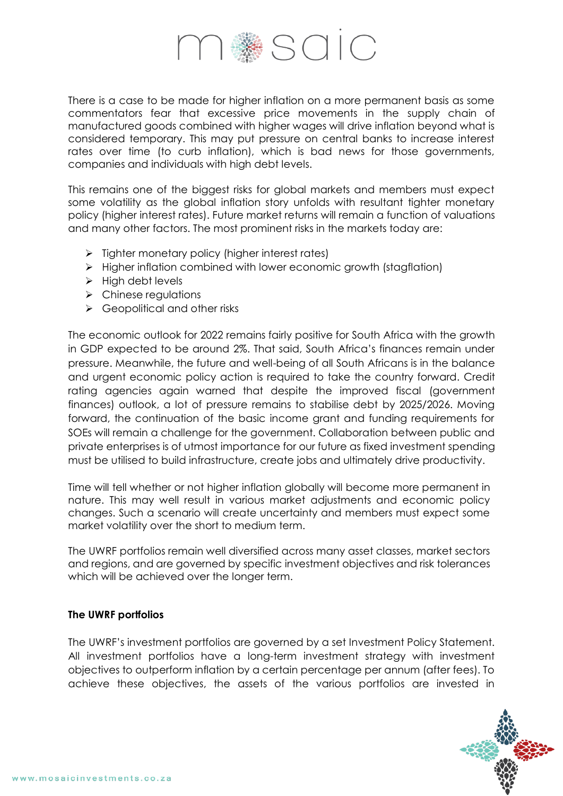

There is a case to be made for higher inflation on a more permanent basis as some commentators fear that excessive price movements in the supply chain of manufactured goods combined with higher wages will drive inflation beyond what is considered temporary. This may put pressure on central banks to increase interest rates over time (to curb inflation), which is bad news for those governments, companies and individuals with high debt levels.

This remains one of the biggest risks for global markets and members must expect some volatility as the global inflation story unfolds with resultant tighter monetary policy (higher interest rates). Future market returns will remain a function of valuations and many other factors. The most prominent risks in the markets today are:

- $\triangleright$  Tighter monetary policy (higher interest rates)
- $\triangleright$  Higher inflation combined with lower economic growth (stagflation)
- $\triangleright$  High debt levels
- $\triangleright$  Chinese regulations
- $\triangleright$  Geopolitical and other risks

The economic outlook for 2022 remains fairly positive for South Africa with the growth in GDP expected to be around 2%. That said, South Africa's finances remain under pressure. Meanwhile, the future and well-being of all South Africans is in the balance and urgent economic policy action is required to take the country forward. Credit rating agencies again warned that despite the improved fiscal (government finances) outlook, a lot of pressure remains to stabilise debt by 2025/2026. Moving forward, the continuation of the basic income grant and funding requirements for SOEs will remain a challenge for the government. Collaboration between public and private enterprises is of utmost importance for our future as fixed investment spending must be utilised to build infrastructure, create jobs and ultimately drive productivity.

Time will tell whether or not higher inflation globally will become more permanent in nature. This may well result in various market adjustments and economic policy changes. Such a scenario will create uncertainty and members must expect some market volatility over the short to medium term.

The UWRF portfolios remain well diversified across many asset classes, market sectors and regions, and are governed by specific investment objectives and risk tolerances which will be achieved over the longer term.

### **The UWRF portfolios**

The UWRF's investment portfolios are governed by a set Investment Policy Statement. All investment portfolios have a long-term investment strategy with investment objectives to outperform inflation by a certain percentage per annum (after fees). To achieve these objectives, the assets of the various portfolios are invested in